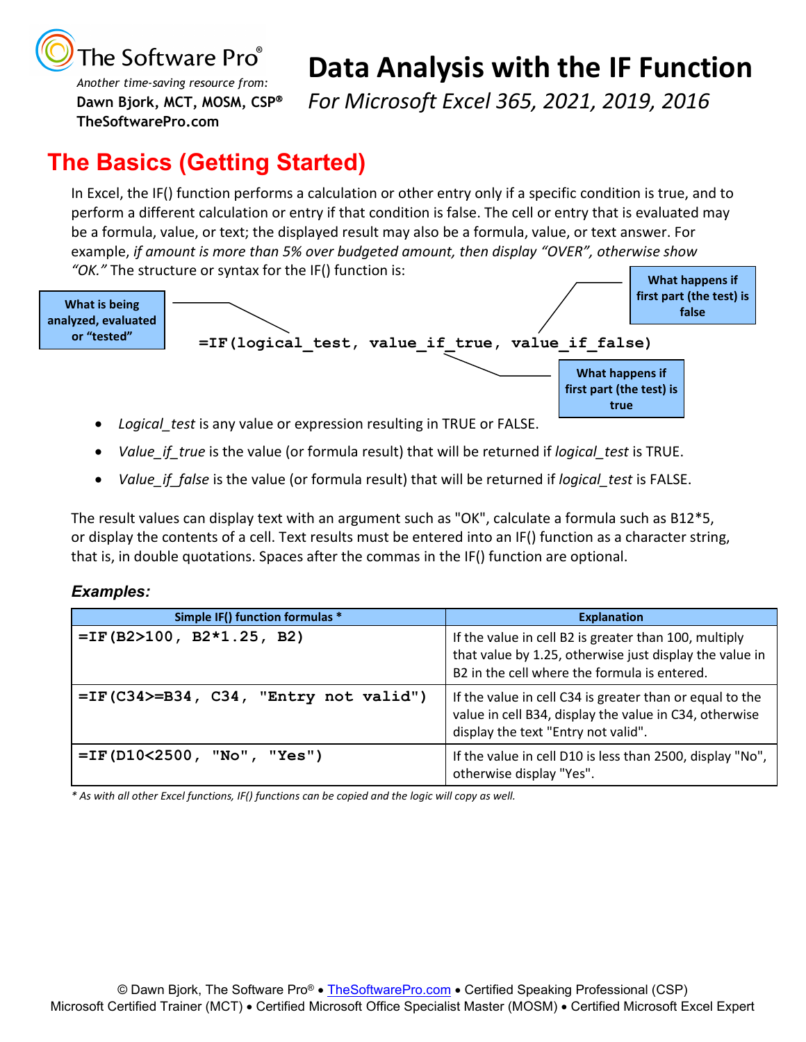

*Another time-saving resource from:* **Dawn Bjork, MCT, MOSM, CSP TheSoftwarePro.com**

# **Data Analysis with the IF Function**

*For Microsoft Excel 365, 2021, 2019, 2016*

# **The Basics (Getting Started)**

In Excel, the IF() function performs a calculation or other entry only if a specific condition is true, and to perform a different calculation or entry if that condition is false. The cell or entry that is evaluated may be a formula, value, or text; the displayed result may also be a formula, value, or text answer. For example, *if amount is more than 5% over budgeted amount, then display "OVER", otherwise show "OK."* The structure or syntax for the IF() function is:



- *Logical\_test* is any value or expression resulting in TRUE or FALSE.
- *Value\_if\_true* is the value (or formula result) that will be returned if *logical\_test* is TRUE.
- *Value\_if\_false* is the value (or formula result) that will be returned if *logical\_test* is FALSE.

The result values can display text with an argument such as "OK", calculate a formula such as B12\*5, or display the contents of a cell. Text results must be entered into an IF() function as a character string, that is, in double quotations. Spaces after the commas in the IF() function are optional.

#### *Examples:*

| Simple IF() function formulas *         | <b>Explanation</b>                                                                                                                                               |
|-----------------------------------------|------------------------------------------------------------------------------------------------------------------------------------------------------------------|
| $=IF(B2>100, B2*1.25, B2)$              | If the value in cell B2 is greater than 100, multiply<br>that value by 1.25, otherwise just display the value in<br>B2 in the cell where the formula is entered. |
| $=IF(C34>=B34, C34, "Entry not valid")$ | If the value in cell C34 is greater than or equal to the<br>value in cell B34, display the value in C34, otherwise<br>display the text "Entry not valid".        |
| $=$ IF(D10<2500, "No", "Yes")           | If the value in cell D10 is less than 2500, display "No",<br>otherwise display "Yes".                                                                            |

*\* As with all other Excel functions, IF() functions can be copied and the logic will copy as well.*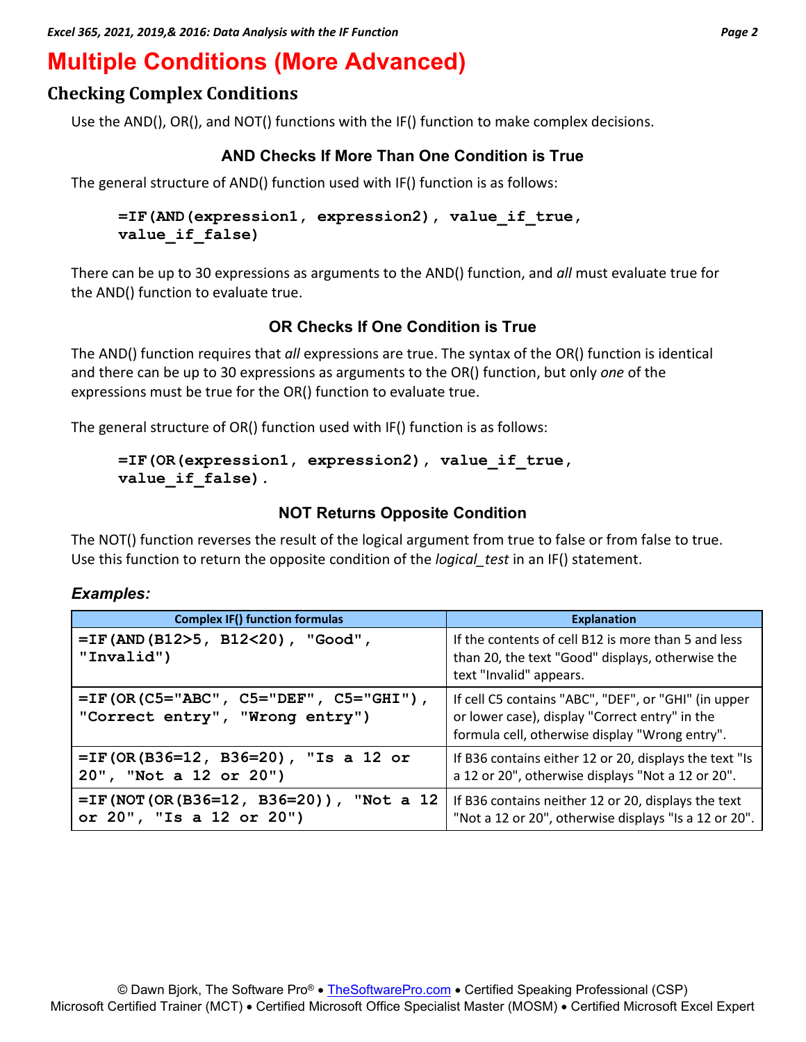# **Multiple Conditions (More Advanced)**

### **Checking Complex Conditions**

Use the AND(), OR(), and NOT() functions with the IF() function to make complex decisions.

#### **AND Checks If More Than One Condition is True**

The general structure of AND() function used with IF() function is as follows:

#### **=IF(AND(expression1, expression2), value\_if\_true, value\_if\_false)**

There can be up to 30 expressions as arguments to the AND() function, and *all* must evaluate true for the AND() function to evaluate true.

#### **OR Checks If One Condition is True**

The AND() function requires that *all* expressions are true. The syntax of the OR() function is identical and there can be up to 30 expressions as arguments to the OR() function, but only *one* of the expressions must be true for the OR() function to evaluate true.

The general structure of OR() function used with IF() function is as follows:

#### **=IF(OR(expression1, expression2), value\_if\_true, value\_if\_false).**

#### **NOT Returns Opposite Condition**

The NOT() function reverses the result of the logical argument from true to false or from false to true. Use this function to return the opposite condition of the *logical\_test* in an IF() statement.

#### *Examples:*

| <b>Complex IF() function formulas</b>                                       | <b>Explanation</b>                                                                                                                                       |
|-----------------------------------------------------------------------------|----------------------------------------------------------------------------------------------------------------------------------------------------------|
| $=IF(AND(B12>5, B12<20), "Good",$<br>"Invalid")                             | If the contents of cell B12 is more than 5 and less<br>than 20, the text "Good" displays, otherwise the<br>text "Invalid" appears.                       |
| $=$ IF(OR(C5="ABC", C5="DEF", C5="GHI"),<br>"Correct entry", "Wrong entry") | If cell C5 contains "ABC", "DEF", or "GHI" (in upper<br>or lower case), display "Correct entry" in the<br>formula cell, otherwise display "Wrong entry". |
| $=IF(OR(B36=12, B36=20)$ , "Is a 12 or<br>20", "Not a 12 or 20")            | If B36 contains either 12 or 20, displays the text "Is<br>a 12 or 20", otherwise displays "Not a 12 or 20".                                              |
| $=$ IF(NOT(OR(B36=12, B36=20)), "Not a 12<br>or 20", "Is a 12 or 20")       | If B36 contains neither 12 or 20, displays the text<br>"Not a 12 or 20", otherwise displays "Is a 12 or 20".                                             |